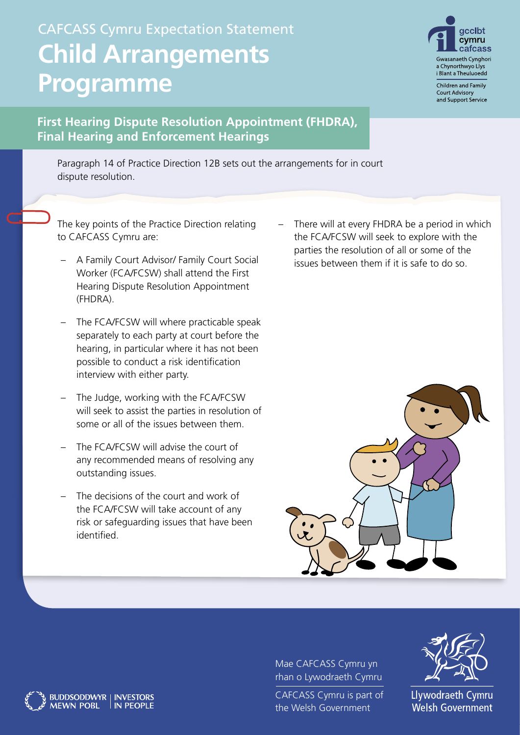## CAFCASS Cymru Expectation Statement **Child Arrangements Programme**



Children and Family **Court Advisory** and Support Service

## **First Hearing Dispute Resolution Appointment (FHDRA), Final Hearing and Enforcement Hearings**

Paragraph 14 of Practice Direction 12B sets out the arrangements for in court dispute resolution.

The key points of the Practice Direction relating to CAFCASS Cymru are:

- A Family Court Advisor/ Family Court Social Worker (FCA/FCSW) shall attend the First Hearing Dispute Resolution Appointment (FHDRA).
- The FCA/FCSW will where practicable speak separately to each party at court before the hearing, in particular where it has not been possible to conduct a risk identification interview with either party.
- The Judge, working with the FCA/FCSW will seek to assist the parties in resolution of some or all of the issues between them.
- The FCA/FCSW will advise the court of any recommended means of resolving any outstanding issues.
- The decisions of the court and work of the FCA/FCSW will take account of any risk or safeguarding issues that have been identified.

BUDDSODDWYR | INVESTORS<br>MEWN POBL | IN PEOPLE

**MEWN POBL** 

There will at every FHDRA be a period in which the FCA/FCSW will seek to explore with the parties the resolution of all or some of the issues between them if it is safe to do so.



Mae CAFCASS Cymru yn rhan o Lywodraeth Cymru

CAFCASS Cymru is part of the Welsh Government



Llywodraeth Cymru **Welsh Government**